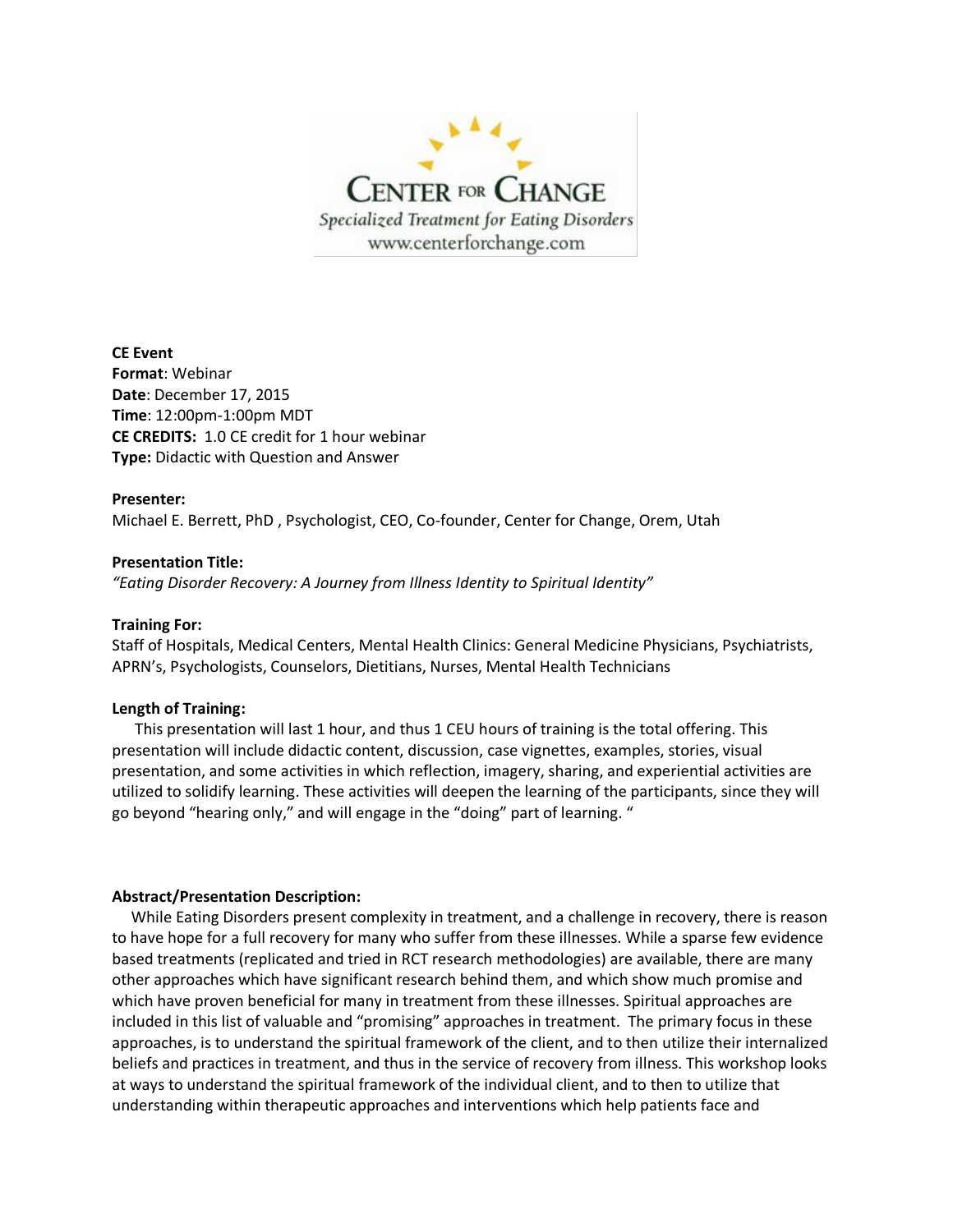

**CE Event Format**: Webinar **Date**: December 17, 2015 **Time**: 12:00pm-1:00pm MDT **CE CREDITS:** 1.0 CE credit for 1 hour webinar **Type:** Didactic with Question and Answer

#### **Presenter:**

Michael E. Berrett, PhD , Psychologist, CEO, Co-founder, Center for Change, Orem, Utah

#### **Presentation Title:**

*"Eating Disorder Recovery: A Journey from Illness Identity to Spiritual Identity"*

#### **Training For:**

Staff of Hospitals, Medical Centers, Mental Health Clinics: General Medicine Physicians, Psychiatrists, APRN's, Psychologists, Counselors, Dietitians, Nurses, Mental Health Technicians

#### **Length of Training:**

 This presentation will last 1 hour, and thus 1 CEU hours of training is the total offering. This presentation will include didactic content, discussion, case vignettes, examples, stories, visual presentation, and some activities in which reflection, imagery, sharing, and experiential activities are utilized to solidify learning. These activities will deepen the learning of the participants, since they will go beyond "hearing only," and will engage in the "doing" part of learning. "

#### **Abstract/Presentation Description:**

 While Eating Disorders present complexity in treatment, and a challenge in recovery, there is reason to have hope for a full recovery for many who suffer from these illnesses. While a sparse few evidence based treatments (replicated and tried in RCT research methodologies) are available, there are many other approaches which have significant research behind them, and which show much promise and which have proven beneficial for many in treatment from these illnesses. Spiritual approaches are included in this list of valuable and "promising" approaches in treatment. The primary focus in these approaches, is to understand the spiritual framework of the client, and to then utilize their internalized beliefs and practices in treatment, and thus in the service of recovery from illness. This workshop looks at ways to understand the spiritual framework of the individual client, and to then to utilize that understanding within therapeutic approaches and interventions which help patients face and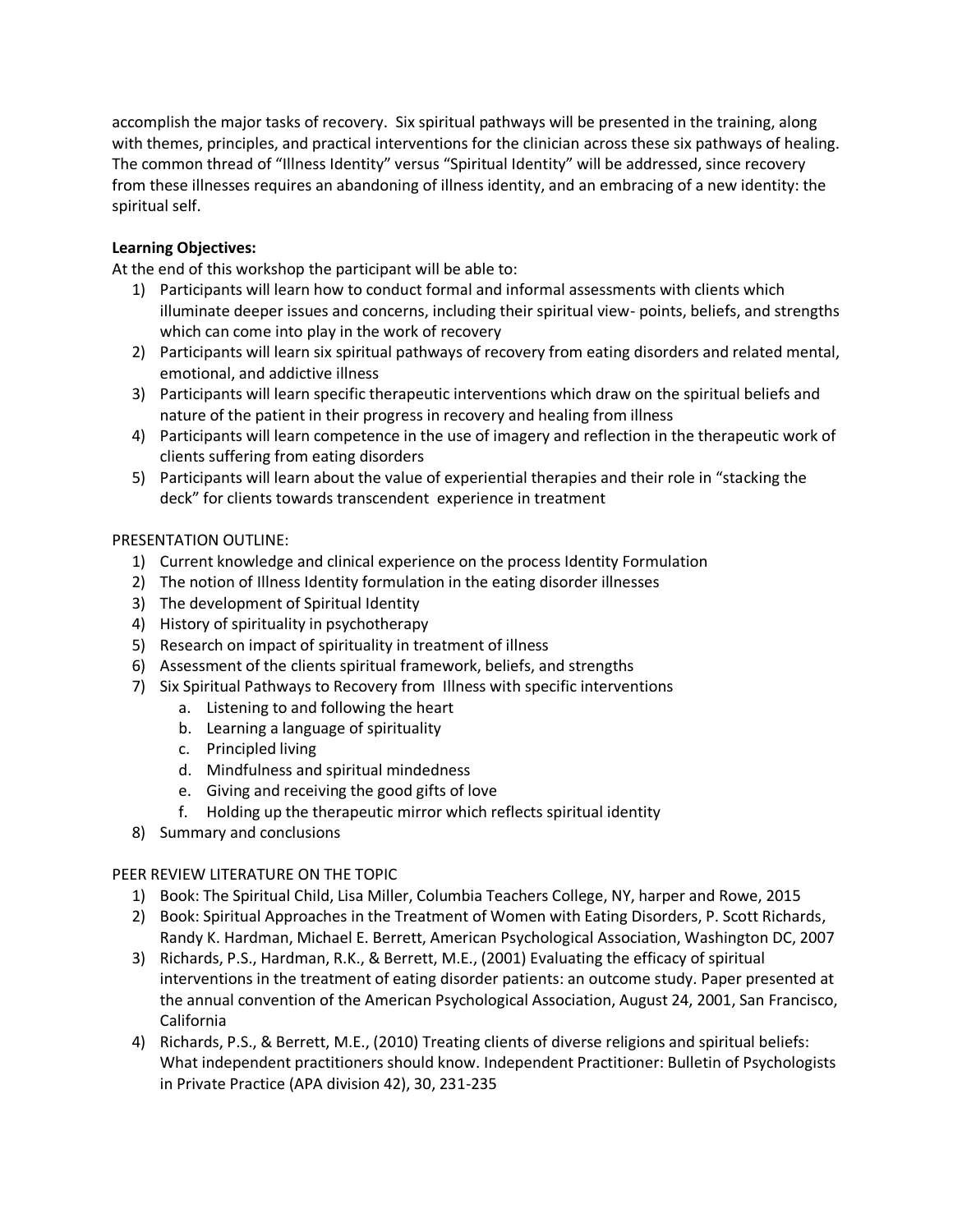accomplish the major tasks of recovery. Six spiritual pathways will be presented in the training, along with themes, principles, and practical interventions for the clinician across these six pathways of healing. The common thread of "Illness Identity" versus "Spiritual Identity" will be addressed, since recovery from these illnesses requires an abandoning of illness identity, and an embracing of a new identity: the spiritual self.

## **Learning Objectives:**

At the end of this workshop the participant will be able to:

- 1) Participants will learn how to conduct formal and informal assessments with clients which illuminate deeper issues and concerns, including their spiritual view- points, beliefs, and strengths which can come into play in the work of recovery
- 2) Participants will learn six spiritual pathways of recovery from eating disorders and related mental, emotional, and addictive illness
- 3) Participants will learn specific therapeutic interventions which draw on the spiritual beliefs and nature of the patient in their progress in recovery and healing from illness
- 4) Participants will learn competence in the use of imagery and reflection in the therapeutic work of clients suffering from eating disorders
- 5) Participants will learn about the value of experiential therapies and their role in "stacking the deck" for clients towards transcendent experience in treatment

## PRESENTATION OUTLINE:

- 1) Current knowledge and clinical experience on the process Identity Formulation
- 2) The notion of Illness Identity formulation in the eating disorder illnesses
- 3) The development of Spiritual Identity
- 4) History of spirituality in psychotherapy
- 5) Research on impact of spirituality in treatment of illness
- 6) Assessment of the clients spiritual framework, beliefs, and strengths
- 7) Six Spiritual Pathways to Recovery from Illness with specific interventions
	- a. Listening to and following the heart
	- b. Learning a language of spirituality
	- c. Principled living
	- d. Mindfulness and spiritual mindedness
	- e. Giving and receiving the good gifts of love
	- f. Holding up the therapeutic mirror which reflects spiritual identity
- 8) Summary and conclusions

# PEER REVIEW LITERATURE ON THE TOPIC

- 1) Book: The Spiritual Child, Lisa Miller, Columbia Teachers College, NY, harper and Rowe, 2015
- 2) Book: Spiritual Approaches in the Treatment of Women with Eating Disorders, P. Scott Richards, Randy K. Hardman, Michael E. Berrett, American Psychological Association, Washington DC, 2007
- 3) Richards, P.S., Hardman, R.K., & Berrett, M.E., (2001) Evaluating the efficacy of spiritual interventions in the treatment of eating disorder patients: an outcome study. Paper presented at the annual convention of the American Psychological Association, August 24, 2001, San Francisco, California
- 4) Richards, P.S., & Berrett, M.E., (2010) Treating clients of diverse religions and spiritual beliefs: What independent practitioners should know. Independent Practitioner: Bulletin of Psychologists in Private Practice (APA division 42), 30, 231-235